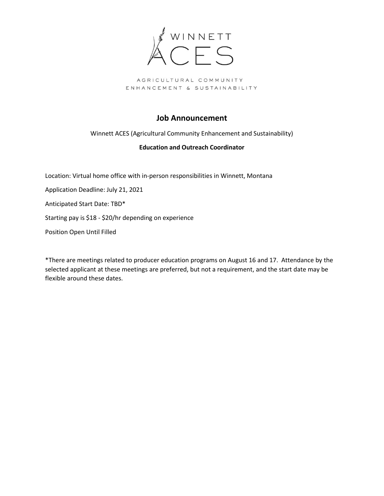

## **Job Announcement**

Winnett ACES (Agricultural Community Enhancement and Sustainability)

#### **Education and Outreach Coordinator**

Location: Virtual home office with in-person responsibilities in Winnett, Montana

Application Deadline: July 21, 2021

Anticipated Start Date: TBD\*

Starting pay is \$18 - \$20/hr depending on experience

Position Open Until Filled

\*There are meetings related to producer education programs on August 16 and 17. Attendance by the selected applicant at these meetings are preferred, but not a requirement, and the start date may be flexible around these dates.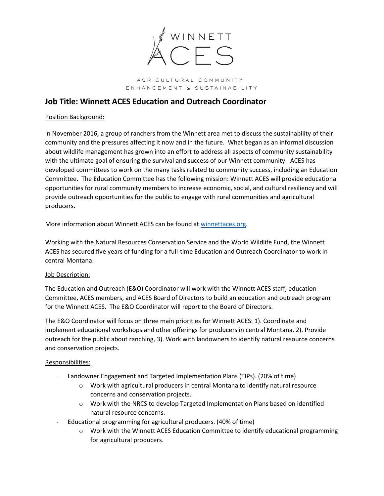

## **Job Title: Winnett ACES Education and Outreach Coordinator**

#### Position Background:

In November 2016, a group of ranchers from the Winnett area met to discuss the sustainability of their community and the pressures affecting it now and in the future. What began as an informal discussion about wildlife management has grown into an effort to address all aspects of community sustainability with the ultimate goal of ensuring the survival and success of our Winnett community. ACES has developed committees to work on the many tasks related to community success, including an Education Committee. The Education Committee has the following mission: Winnett ACES will provide educational opportunities for rural community members to increase economic, social, and cultural resiliency and will provide outreach opportunities for the public to engage with rural communities and agricultural producers.

More information about Winnett ACES can be found at [winnettaces.org.](winnettaces.org)

Working with the Natural Resources Conservation Service and the World Wildlife Fund, the Winnett ACES has secured five years of funding for a full-time Education and Outreach Coordinator to work in central Montana.

### Job Description:

The Education and Outreach (E&O) Coordinator will work with the Winnett ACES staff, education Committee, ACES members, and ACES Board of Directors to build an education and outreach program for the Winnett ACES. The E&O Coordinator will report to the Board of Directors.

The E&O Coordinator will focus on three main priorities for Winnett ACES: 1). Coordinate and implement educational workshops and other offerings for producers in central Montana, 2). Provide outreach for the public about ranching, 3). Work with landowners to identify natural resource concerns and conservation projects.

#### Responsibilities:

- Landowner Engagement and Targeted Implementation Plans (TIPs). (20% of time)
	- $\circ$  Work with agricultural producers in central Montana to identify natural resource concerns and conservation projects.
	- o Work with the NRCS to develop Targeted Implementation Plans based on identified natural resource concerns.
- Educational programming for agricultural producers. (40% of time)
	- o Work with the Winnett ACES Education Committee to identify educational programming for agricultural producers.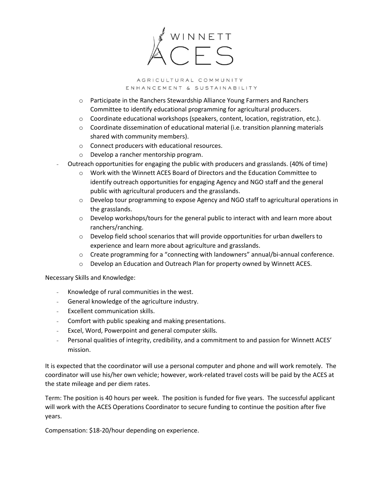

- o Participate in the Ranchers Stewardship Alliance Young Farmers and Ranchers Committee to identify educational programming for agricultural producers.
- $\circ$  Coordinate educational workshops (speakers, content, location, registration, etc.).
- $\circ$  Coordinate dissemination of educational material (i.e. transition planning materials shared with community members).
- o Connect producers with educational resources.
- o Develop a rancher mentorship program.
- Outreach opportunities for engaging the public with producers and grasslands. (40% of time)
	- o Work with the Winnett ACES Board of Directors and the Education Committee to identify outreach opportunities for engaging Agency and NGO staff and the general public with agricultural producers and the grasslands.
	- o Develop tour programming to expose Agency and NGO staff to agricultural operations in the grasslands.
	- $\circ$  Develop workshops/tours for the general public to interact with and learn more about ranchers/ranching.
	- $\circ$  Develop field school scenarios that will provide opportunities for urban dwellers to experience and learn more about agriculture and grasslands.
	- o Create programming for a "connecting with landowners" annual/bi-annual conference.
	- o Develop an Education and Outreach Plan for property owned by Winnett ACES.

Necessary Skills and Knowledge:

- Knowledge of rural communities in the west.
- General knowledge of the agriculture industry.
- Excellent communication skills.
- Comfort with public speaking and making presentations.
- Excel, Word, Powerpoint and general computer skills.
- Personal qualities of integrity, credibility, and a commitment to and passion for Winnett ACES' mission.

It is expected that the coordinator will use a personal computer and phone and will work remotely. The coordinator will use his/her own vehicle; however, work-related travel costs will be paid by the ACES at the state mileage and per diem rates.

Term: The position is 40 hours per week. The position is funded for five years. The successful applicant will work with the ACES Operations Coordinator to secure funding to continue the position after five years.

Compensation: \$18-20/hour depending on experience.